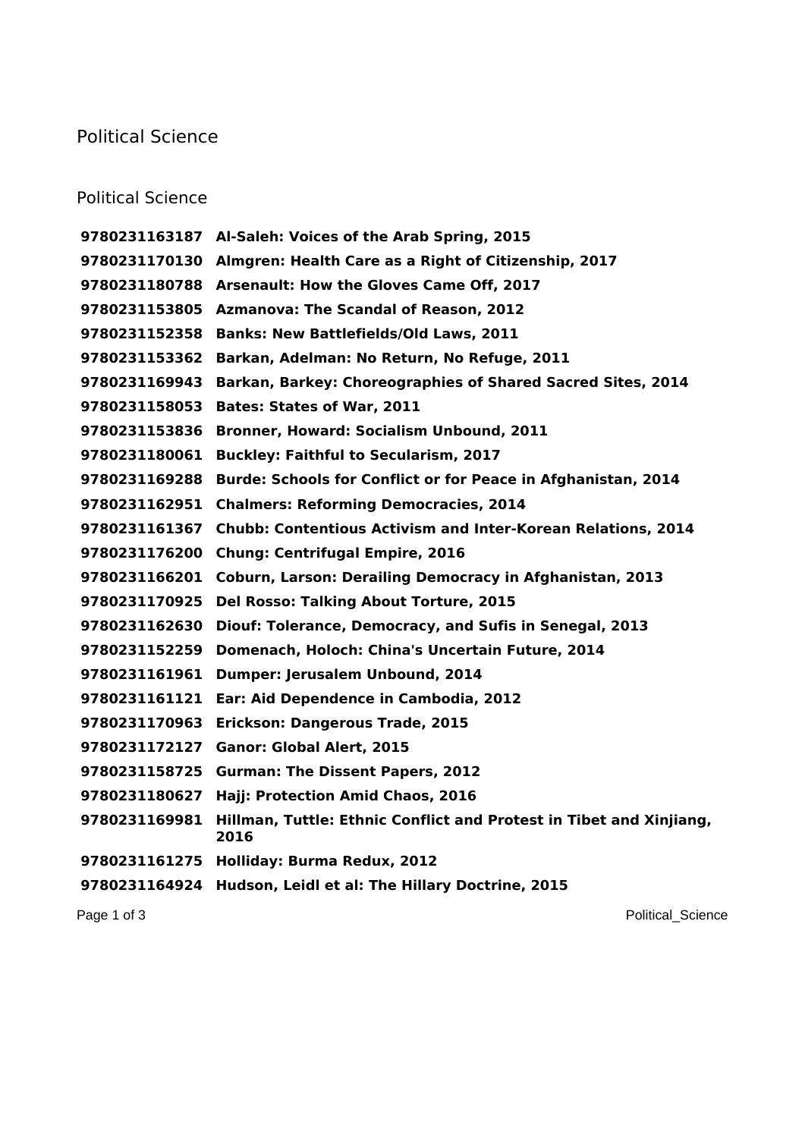## Political Science

## Political Science

 **Al-Saleh: Voices of the Arab Spring, 2015 Almgren: Health Care as a Right of Citizenship, 2017 Arsenault: How the Gloves Came Off, 2017 Azmanova: The Scandal of Reason, 2012 Banks: New Battlefields/Old Laws, 2011 Barkan, Adelman: No Return, No Refuge, 2011 Barkan, Barkey: Choreographies of Shared Sacred Sites, 2014 Bates: States of War, 2011 Bronner, Howard: Socialism Unbound, 2011 Buckley: Faithful to Secularism, 2017 Burde: Schools for Conflict or for Peace in Afghanistan, 2014 Chalmers: Reforming Democracies, 2014 Chubb: Contentious Activism and Inter-Korean Relations, 2014 Chung: Centrifugal Empire, 2016 Coburn, Larson: Derailing Democracy in Afghanistan, 2013 Del Rosso: Talking About Torture, 2015 Diouf: Tolerance, Democracy, and Sufis in Senegal, 2013 Domenach, Holoch: China's Uncertain Future, 2014 Dumper: Jerusalem Unbound, 2014 Ear: Aid Dependence in Cambodia, 2012 Erickson: Dangerous Trade, 2015 Ganor: Global Alert, 2015 Gurman: The Dissent Papers, 2012 Hajj: Protection Amid Chaos, 2016 Hillman, Tuttle: Ethnic Conflict and Protest in Tibet and Xinjiang, Holliday: Burma Redux, 2012 Hudson, Leidl et al: The Hillary Doctrine, 2015**

Page 1 of 3 Political Science Page 1 of 3 Political Science Political Science Political Science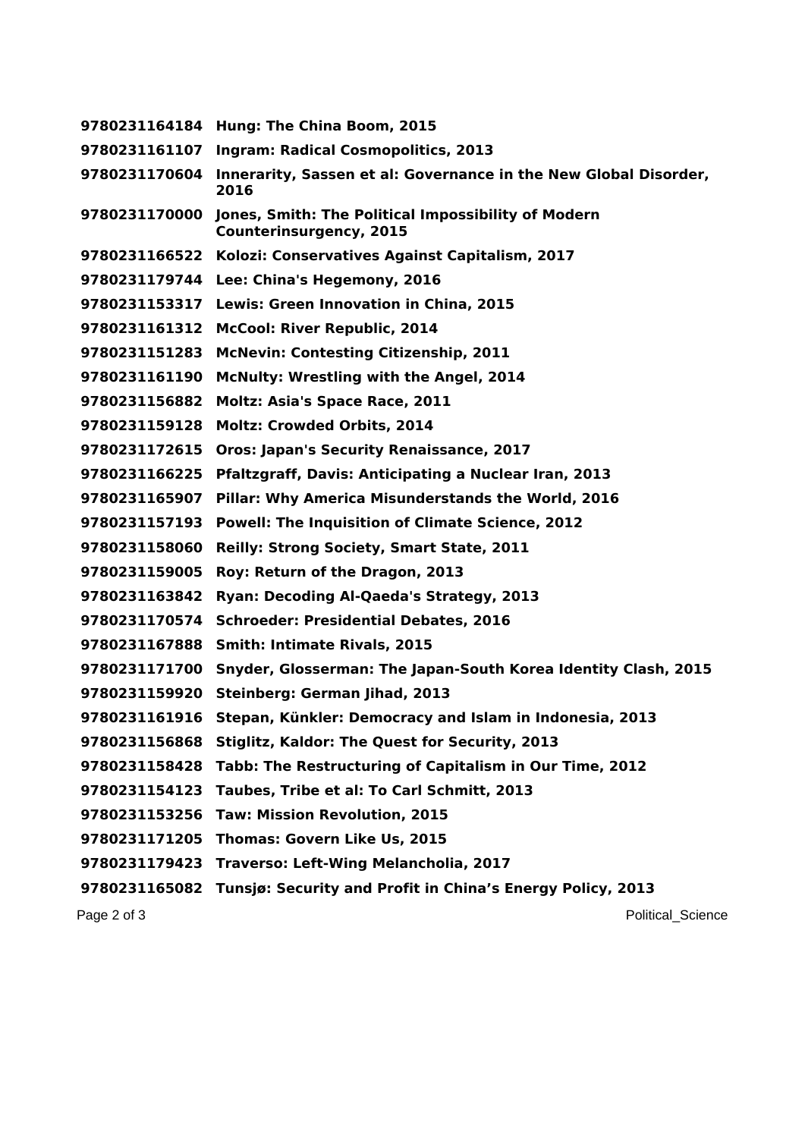**Hung: The China Boom, 2015 Ingram: Radical Cosmopolitics, 2013 Innerarity, Sassen et al: Governance in the New Global Disorder, Jones, Smith: The Political Impossibility of Modern Counterinsurgency, 2015 Kolozi: Conservatives Against Capitalism, 2017 Lee: China's Hegemony, 2016 Lewis: Green Innovation in China, 2015 McCool: River Republic, 2014 McNevin: Contesting Citizenship, 2011 McNulty: Wrestling with the Angel, 2014 Moltz: Asia's Space Race, 2011 Moltz: Crowded Orbits, 2014 Oros: Japan's Security Renaissance, 2017 Pfaltzgraff, Davis: Anticipating a Nuclear Iran, 2013 Pillar: Why America Misunderstands the World, 2016 Powell: The Inquisition of Climate Science, 2012 Reilly: Strong Society, Smart State, 2011 Roy: Return of the Dragon, 2013 Ryan: Decoding Al-Qaeda's Strategy, 2013 Schroeder: Presidential Debates, 2016 Smith: Intimate Rivals, 2015 Snyder, Glosserman: The Japan-South Korea Identity Clash, 2015 Steinberg: German Jihad, 2013 Stepan, Künkler: Democracy and Islam in Indonesia, 2013 Stiglitz, Kaldor: The Quest for Security, 2013 Tabb: The Restructuring of Capitalism in Our Time, 2012 Taubes, Tribe et al: To Carl Schmitt, 2013 Taw: Mission Revolution, 2015 Thomas: Govern Like Us, 2015 Traverso: Left-Wing Melancholia, 2017 Tunsjø: Security and Profit in China's Energy Policy, 2013**

Page 2 of 3 Political Science Page 2 of 3 Political Science Page 2 of 3